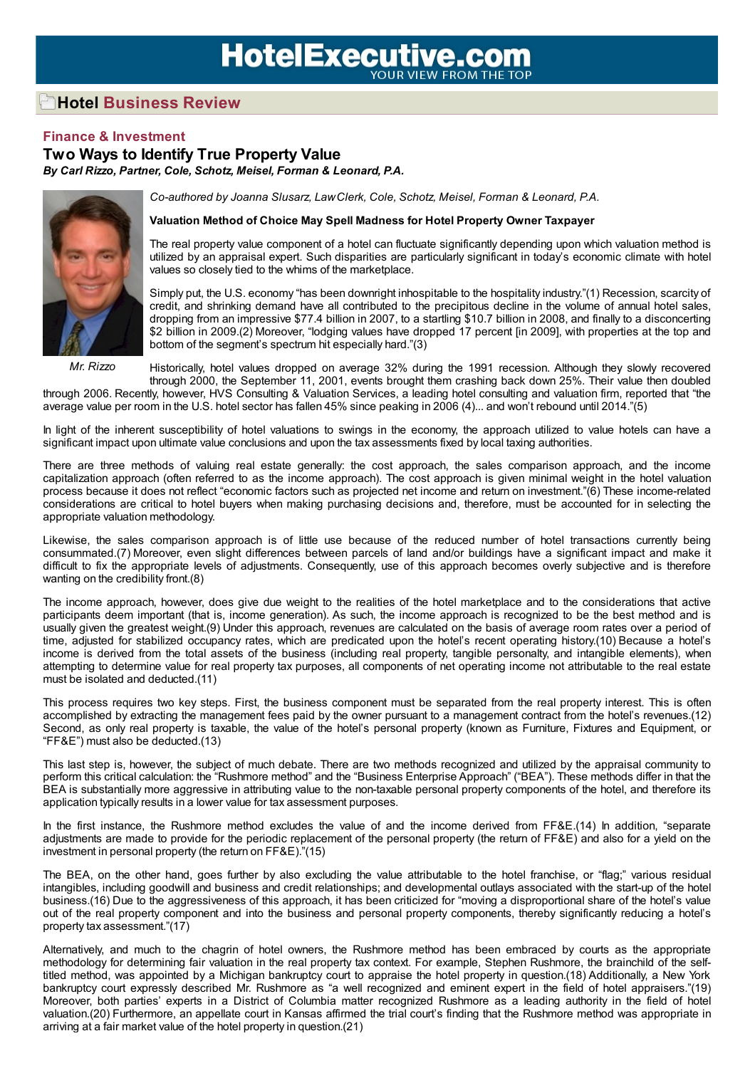## **HotelExecutive.com**

## **Hotel Business Review**

## **Finance & Investment**

**Two Ways to Identify True Property Value** *By Carl Rizzo, Partner, Cole, Schotz, Meisel, Forman & Leonard, P.A.*



*Mr. Rizzo*

*Co-authored by Joanna Slusarz, LawClerk, Cole, Schotz, Meisel, Forman & Leonard, P.A.*

## **Valuation Method of Choice May Spell Madness for Hotel Property Owner Taxpayer**

The real property value component of a hotel can fluctuate significantly depending upon which valuation method is utilized by an appraisal expert. Such disparities are particularly significant in today's economic climate with hotel values so closely tied to the whims of the marketplace.

Simply put, the U.S. economy "has been downright inhospitable to the hospitality industry."(1) Recession, scarcity of credit, and shrinking demand have all contributed to the precipitous decline in the volume of annual hotel sales, dropping from an impressive \$77.4 billion in 2007, to a startling \$10.7 billion in 2008, and finally to a disconcerting \$2 billion in 2009.(2) Moreover, "lodging values have dropped 17 percent [in 2009], with properties at the top and bottom of the segment's spectrum hit especially hard."(3)

Historically, hotel values dropped on average 32% during the 1991 recession. Although they slowly recovered through 2000, the September 11, 2001, events brought them crashing back down 25%. Their value then doubled through 2006. Recently, however, HVS Consulting & Valuation Services, a leading hotel consulting and valuation firm, reported that "the average value per room in the U.S. hotel sector has fallen 45% since peaking in 2006 (4)... and won't rebound until 2014."(5)

In light of the inherent susceptibility of hotel valuations to swings in the economy, the approach utilized to value hotels can have a significant impact upon ultimate value conclusions and upon the tax assessments fixed by local taxing authorities.

There are three methods of valuing real estate generally: the cost approach, the sales comparison approach, and the income capitalization approach (often referred to as the income approach). The cost approach is given minimal weight in the hotel valuation process because it does not reflect "economic factors such as projected net income and return on investment."(6) These income-related considerations are critical to hotel buyers when making purchasing decisions and, therefore, must be accounted for in selecting the appropriate valuation methodology.

Likewise, the sales comparison approach is of little use because of the reduced number of hotel transactions currently being consummated.(7) Moreover, even slight differences between parcels of land and/or buildings have a significant impact and make it difficult to fix the appropriate levels of adjustments. Consequently, use of this approach becomes overly subjective and is therefore wanting on the credibility front.(8)

The income approach, however, does give due weight to the realities of the hotel marketplace and to the considerations that active participants deem important (that is, income generation). As such, the income approach is recognized to be the best method and is usually given the greatest weight.(9) Under this approach, revenues are calculated on the basis of average room rates over a period of time, adjusted for stabilized occupancy rates, which are predicated upon the hotel's recent operating history.(10) Because a hotel's income is derived from the total assets of the business (including real property, tangible personalty, and intangible elements), when attempting to determine value for real property tax purposes, all components of net operating income not attributable to the real estate must be isolated and deducted.(11)

This process requires two key steps. First, the business component must be separated from the real property interest. This is often accomplished by extracting the management fees paid by the owner pursuant to a management contract from the hotel's revenues.(12) Second, as only real property is taxable, the value of the hotel's personal property (known as Furniture, Fixtures and Equipment, or "FF&E") must also be deducted.(13)

This last step is, however, the subject of much debate. There are two methods recognized and utilized by the appraisal community to perform this critical calculation: the "Rushmore method" and the "Business Enterprise Approach" ("BEA"). These methods differ in that the BEA is substantially more aggressive in attributing value to the non-taxable personal property components of the hotel, and therefore its application typically results in a lower value for tax assessment purposes.

In the first instance, the Rushmore method excludes the value of and the income derived from FF&E.(14) In addition, "separate adjustments are made to provide for the periodic replacement of the personal property (the return of FF&E) and also for a yield on the investment in personal property (the return on FF&E)."(15)

The BEA, on the other hand, goes further by also excluding the value attributable to the hotel franchise, or "flag;" various residual intangibles, including goodwill and business and credit relationships; and developmental outlays associated with the start-up of the hotel business.(16) Due to the aggressiveness of this approach, it has been criticized for "moving a disproportional share of the hotel's value out of the real property component and into the business and personal property components, thereby significantly reducing a hotel's property tax assessment."(17)

Alternatively, and much to the chagrin of hotel owners, the Rushmore method has been embraced by courts as the appropriate methodology for determining fair valuation in the real property tax context. For example, Stephen Rushmore, the brainchild of the selftitled method, was appointed by a Michigan bankruptcy court to appraise the hotel property in question.(18) Additionally, a New York bankruptcy court expressly described Mr. Rushmore as "a well recognized and eminent expert in the field of hotel appraisers."(19) Moreover, both parties' experts in a District of Columbia matter recognized Rushmore as a leading authority in the field of hotel valuation.(20) Furthermore, an appellate court in Kansas affirmed the trial court's finding that the Rushmore method was appropriate in arriving at a fair market value of the hotel property in question.(21)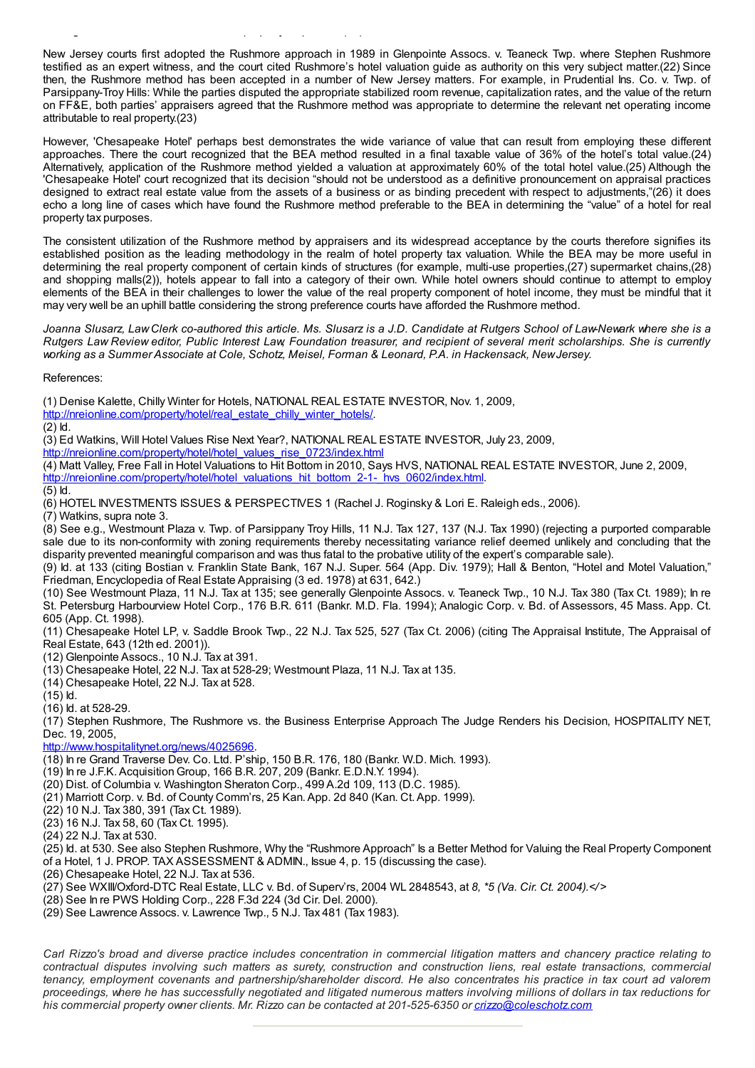New Jersey courts first adopted the Rushmore approach in 1989 in Glenpointe Assocs. v. Teaneck Twp. where Stephen Rushmore testified as an expert witness, and the court cited Rushmore's hotel valuation guide as authority on this very subject matter.(22) Since then, the Rushmore method has been accepted in a number of New Jersey matters. For example, in Prudential Ins. Co. v. Twp. of Parsippany-Troy Hills: While the parties disputed the appropriate stabilized room revenue, capitalization rates, and the value of the return on FF&E, both parties' appraisers agreed that the Rushmore method was appropriate to determine the relevant net operating income attributable to real property.(23)

However, 'Chesapeake Hotel' perhaps best demonstrates the wide variance of value that can result from employing these different approaches. There the court recognized that the BEA method resulted in a final taxable value of 36% of the hotel's total value.(24) Alternatively, application of the Rushmore method yielded a valuation at approximately 60% of the total hotel value.(25) Although the 'Chesapeake Hotel' court recognized that its decision "should not be understood as a definitive pronouncement on appraisal practices designed to extract real estate value from the assets of a business or as binding precedent with respect to adjustments,"(26) it does echo a long line of cases which have found the Rushmore method preferable to the BEA in determining the "value" of a hotel for real property tax purposes.

The consistent utilization of the Rushmore method by appraisers and its widespread acceptance by the courts therefore signifies its established position as the leading methodology in the realm of hotel property tax valuation. While the BEA may be more useful in determining the real property component of certain kinds of structures (for example, multi-use properties,(27) supermarket chains,(28) and shopping malls(2)), hotels appear to fall into a category of their own. While hotel owners should continue to attempt to employ elements of the BEA in their challenges to lower the value of the real property component of hotel income, they must be mindful that it may very well be an uphill battle considering the strong preference courts have afforded the Rushmore method.

Joanna Slusarz, Law Clerk co-authored this article. Ms. Slusarz is a J.D. Candidate at Rutgers School of Law-Newark where she is a Rutgers Law Review editor. Public Interest Law Foundation treasurer, and recipient of several merit scholarships. She is currently *working as a Summer Associate at Cole, Schotz, Meisel, Forman & Leonard, P.A. in Hackensack, NewJersey.*

References:

(1) Denise Kalette, Chilly Winter for Hotels, NATIONAL REAL ESTATE INVESTOR, Nov. 1, 2009,

[http://nreionline.com/property/hotel/real\\_estate\\_chilly\\_winter\\_hotels/](http://nreionline.com/property/hotel/real_estate_chilly_winter_hotels/).

(2) Id.

(3) Ed Watkins, Will Hotel Values Rise Next Year?, NATIONAL REAL ESTATE INVESTOR, July 23, 2009,

[http://nreionline.com/property/hotel/hotel\\_values\\_rise\\_0723/index.html](http://nreionline.com/property/hotel/hotel_values_rise_0723/index.html)

(4) Matt Valley, Free Fall in Hotel Valuations to Hit Bottom in 2010, Says HVS, NATIONAL REAL ESTATE INVESTOR, June 2, 2009, [http://nreionline.com/property/hotel/hotel\\_valuations\\_hit\\_bottom\\_2-1-\\_hvs\\_0602/index.html](http://nreionline.com/property/hotel/hotel_valuations_hit_bottom_2-1-_hvs_0602/index.html).

 $(5)$  ld.

(6) HOTEL INVESTMENTS ISSUES & PERSPECTIVES 1 (Rachel J. Roginsky & Lori E. Raleigh eds., 2006).

(7) Watkins, supra note 3.

(8) See e.g., Westmount Plaza v. Twp. of Parsippany Troy Hills, 11 N.J. Tax 127, 137 (N.J. Tax 1990) (rejecting a purported comparable sale due to its non-conformity with zoning requirements thereby necessitating variance relief deemed unlikely and concluding that the disparity prevented meaningful comparison and was thus fatal to the probative utility of the expert's comparable sale).

(9) Id. at 133 (citing Bostian v. Franklin State Bank, 167 N.J. Super. 564 (App. Div. 1979); Hall & Benton, "Hotel and Motel Valuation," Friedman, Encyclopedia of Real Estate Appraising (3 ed. 1978) at 631, 642.)

(10) See Westmount Plaza, 11 N.J. Tax at 135; see generally Glenpointe Assocs. v. Teaneck Twp., 10 N.J. Tax 380 (Tax Ct. 1989); In re St. Petersburg Harbourview Hotel Corp., 176 B.R. 611 (Bankr. M.D. Fla. 1994); Analogic Corp. v. Bd. of Assessors, 45 Mass. App. Ct. 605 (App. Ct. 1998).

(11) Chesapeake Hotel LP, v. Saddle Brook Twp., 22 N.J. Tax 525, 527 (Tax Ct. 2006) (citing The Appraisal Institute, The Appraisal of Real Estate, 643 (12th ed. 2001)).

(12) Glenpointe Assocs., 10 N.J. Tax at 391.

(13) Chesapeake Hotel, 22 N.J. Tax at 528-29; Westmount Plaza, 11 N.J. Tax at 135.

(14) Chesapeake Hotel, 22 N.J. Tax at 528.

(15) Id.

(16) Id. at 528-29.

(17) Stephen Rushmore, The Rushmore vs. the Business Enterprise Approach The Judge Renders his Decision, HOSPITALITY NET, Dec. 19, 2005,

<http://www.hospitalitynet.org/news/4025696>.

(18) In re Grand Traverse Dev. Co. Ltd. P'ship, 150 B.R. 176, 180 (Bankr. W.D. Mich. 1993).

(19) In re J.F.K.Acquisition Group, 166 B.R. 207, 209 (Bankr. E.D.N.Y. 1994).

(20) Dist. of Columbia v. Washington Sheraton Corp., 499 A.2d 109, 113 (D.C. 1985).

(21) Marriott Corp. v. Bd. of County Comm'rs, 25 Kan.App. 2d 840 (Kan. Ct.App. 1999).

(22) 10 N.J. Tax 380, 391 (Tax Ct. 1989).

(23) 16 N.J. Tax 58, 60 (Tax Ct. 1995).

(24) 22 N.J. Tax at 530.

(25) Id. at 530. See also Stephen Rushmore, Why the "Rushmore Approach" Is a Better Method for Valuing the Real Property Component

of a Hotel, 1 J. PROP. TAX ASSESSMENT & ADMIN., Issue 4, p. 15 (discussing the case).

(26) Chesapeake Hotel, 22 N.J. Tax at 536.

(27) See WXIII/Oxford-DTC Real Estate, LLC v. Bd. of Superv'rs, 2004 WL 2848543, at *8, \*5 (Va. Cir. Ct. 2004).</* >

(28) See In re PWS Holding Corp., 228 F.3d 224 (3d Cir. Del. 2000).

(29) See Lawrence Assocs. v. Lawrence Twp., 5 N.J. Tax 481 (Tax 1983).

Carl Rizzo's broad and diverse practice includes concentration in commercial litigation matters and chancery practice relating to contractual disputes involving such matters as surety, construction and construction liens, real estate transactions, commercial tenancy, employment covenants and partnership/shareholder discord. He also concentrates his practice in tax court ad valorem proceedings, where he has successfully negotiated and litigated numerous matters involving millions of dollars in tax reductions for *his commercial property owner clients. Mr. Rizzo can be contacted at 201-525-6350 or [crizzo@coleschotz.com](mailto:crizzo@coleschotz.com)*

arriving at a fair market value of the hotel property in  $\mathcal{L}_\mathcal{A}$